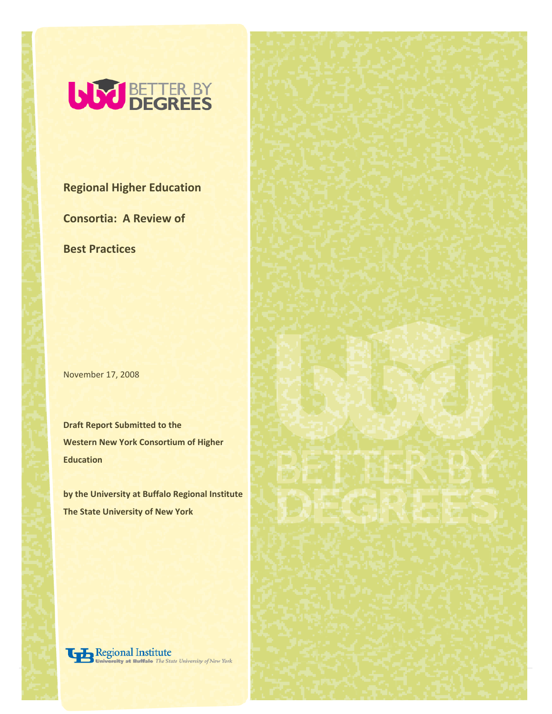

**Regional Higher Education**

**Consortia: A Review of** 

**Best Practices**

November 17, 2008

**Draft Report Submitted to the Western New York Consortium of Higher Education** 

**by the University at Buffalo Regional Institute The State University of New York**

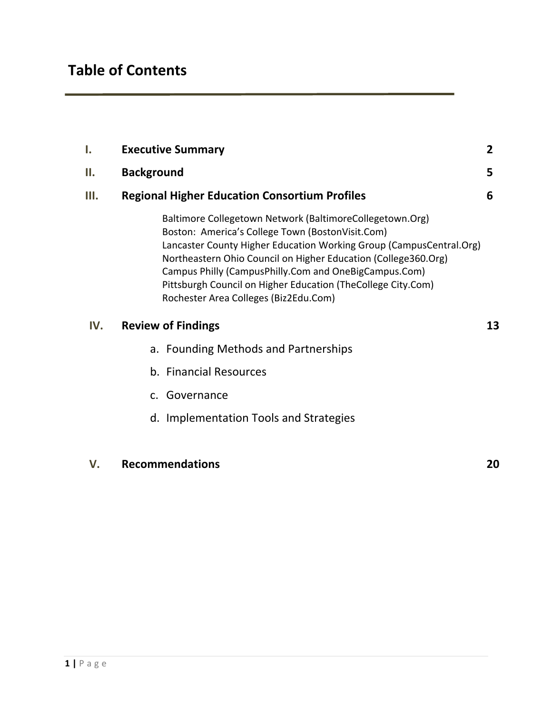| Ι.   | <b>Executive Summary</b>                                                                                                                                                                                                                                                                                                                                                                                                | $\overline{2}$ |  |
|------|-------------------------------------------------------------------------------------------------------------------------------------------------------------------------------------------------------------------------------------------------------------------------------------------------------------------------------------------------------------------------------------------------------------------------|----------------|--|
| П.   | <b>Background</b>                                                                                                                                                                                                                                                                                                                                                                                                       | 5              |  |
| III. | <b>Regional Higher Education Consortium Profiles</b>                                                                                                                                                                                                                                                                                                                                                                    |                |  |
|      | Baltimore Collegetown Network (BaltimoreCollegetown.Org)<br>Boston: America's College Town (BostonVisit.Com)<br>Lancaster County Higher Education Working Group (CampusCentral.Org)<br>Northeastern Ohio Council on Higher Education (College360.Org)<br>Campus Philly (CampusPhilly.Com and OneBigCampus.Com)<br>Pittsburgh Council on Higher Education (TheCollege City.Com)<br>Rochester Area Colleges (Biz2Edu.Com) |                |  |
| IV.  | <b>Review of Findings</b>                                                                                                                                                                                                                                                                                                                                                                                               | 13             |  |
|      | a. Founding Methods and Partnerships                                                                                                                                                                                                                                                                                                                                                                                    |                |  |
|      | b. Financial Resources                                                                                                                                                                                                                                                                                                                                                                                                  |                |  |
|      | c. Governance                                                                                                                                                                                                                                                                                                                                                                                                           |                |  |
|      | d. Implementation Tools and Strategies                                                                                                                                                                                                                                                                                                                                                                                  |                |  |
|      |                                                                                                                                                                                                                                                                                                                                                                                                                         |                |  |

# **V. Recommendations 20**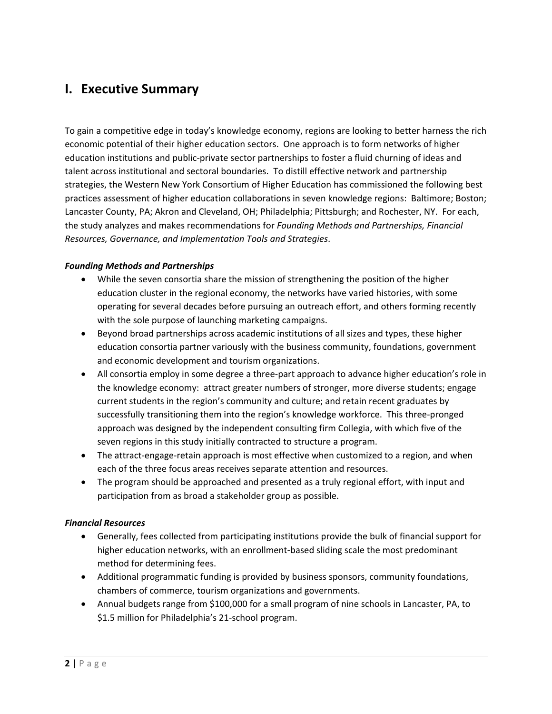# **I. Executive Summary**

To gain a competitive edge in today's knowledge economy, regions are looking to better harness the rich economic potential of their higher education sectors. One approach is to form networks of higher education institutions and public‐private sector partnerships to foster a fluid churning of ideas and talent across institutional and sectoral boundaries. To distill effective network and partnership strategies, the Western New York Consortium of Higher Education has commissioned the following best practices assessment of higher education collaborations in seven knowledge regions: Baltimore; Boston; Lancaster County, PA; Akron and Cleveland, OH; Philadelphia; Pittsburgh; and Rochester, NY. For each, the study analyzes and makes recommendations for *Founding Methods and Partnerships, Financial Resources, Governance, and Implementation Tools and Strategies*.

## *Founding Methods and Partnerships*

- While the seven consortia share the mission of strengthening the position of the higher education cluster in the regional economy, the networks have varied histories, with some operating for several decades before pursuing an outreach effort, and others forming recently with the sole purpose of launching marketing campaigns.
- Beyond broad partnerships across academic institutions of all sizes and types, these higher education consortia partner variously with the business community, foundations, government and economic development and tourism organizations.
- All consortia employ in some degree a three-part approach to advance higher education's role in the knowledge economy: attract greater numbers of stronger, more diverse students; engage current students in the region's community and culture; and retain recent graduates by successfully transitioning them into the region's knowledge workforce. This three-pronged approach was designed by the independent consulting firm Collegia, with which five of the seven regions in this study initially contracted to structure a program.
- The attract-engage-retain approach is most effective when customized to a region, and when each of the three focus areas receives separate attention and resources.
- The program should be approached and presented as a truly regional effort, with input and participation from as broad a stakeholder group as possible.

## *Financial Resources*

- Generally, fees collected from participating institutions provide the bulk of financial support for higher education networks, with an enrollment‐based sliding scale the most predominant method for determining fees.
- Additional programmatic funding is provided by business sponsors, community foundations, chambers of commerce, tourism organizations and governments.
- Annual budgets range from \$100,000 for a small program of nine schools in Lancaster, PA, to \$1.5 million for Philadelphia's 21‐school program.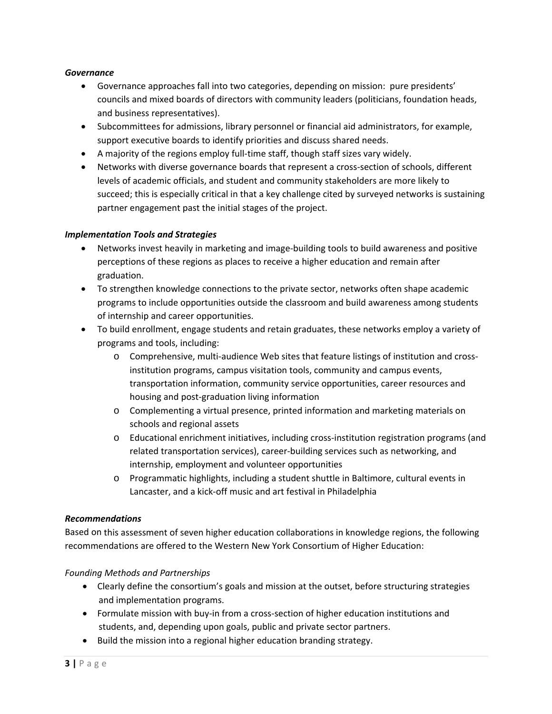### *Governance*

- Governance approaches fall into two categories, depending on mission: pure presidents' councils and mixed boards of directors with community leaders (politicians, foundation heads, and business representatives).
- Subcommittees for admissions, library personnel or financial aid administrators, for example, support executive boards to identify priorities and discuss shared needs.
- A majority of the regions employ full‐time staff, though staff sizes vary widely.
- Networks with diverse governance boards that represent a cross-section of schools, different levels of academic officials, and student and community stakeholders are more likely to succeed; this is especially critical in that a key challenge cited by surveyed networks is sustaining partner engagement past the initial stages of the project.

### *Implementation Tools and Strategies*

- Networks invest heavily in marketing and image‐building tools to build awareness and positive perceptions of these regions as places to receive a higher education and remain after graduation.
- To strengthen knowledge connections to the private sector, networks often shape academic programs to include opportunities outside the classroom and build awareness among students of internship and career opportunities.
- To build enrollment, engage students and retain graduates, these networks employ a variety of programs and tools, including:
	- o Comprehensive, multi‐audience Web sites that feature listings of institution and cross‐ institution programs, campus visitation tools, community and campus events, transportation information, community service opportunities, career resources and housing and post‐graduation living information
	- o Complementing a virtual presence, printed information and marketing materials on schools and regional assets
	- o Educational enrichment initiatives, including cross‐institution registration programs (and related transportation services), career‐building services such as networking, and internship, employment and volunteer opportunities
	- o Programmatic highlights, including a student shuttle in Baltimore, cultural events in Lancaster, and a kick‐off music and art festival in Philadelphia

### *Recommendations*

Based on this assessment of seven higher education collaborations in knowledge regions, the following recommendations are offered to the Western New York Consortium of Higher Education:

## *Founding Methods and Partnerships*

- Clearly define the consortium's goals and mission at the outset, before structuring strategies and implementation programs.
- Formulate mission with buy-in from a cross-section of higher education institutions and students, and, depending upon goals, public and private sector partners.
- Build the mission into a regional higher education branding strategy.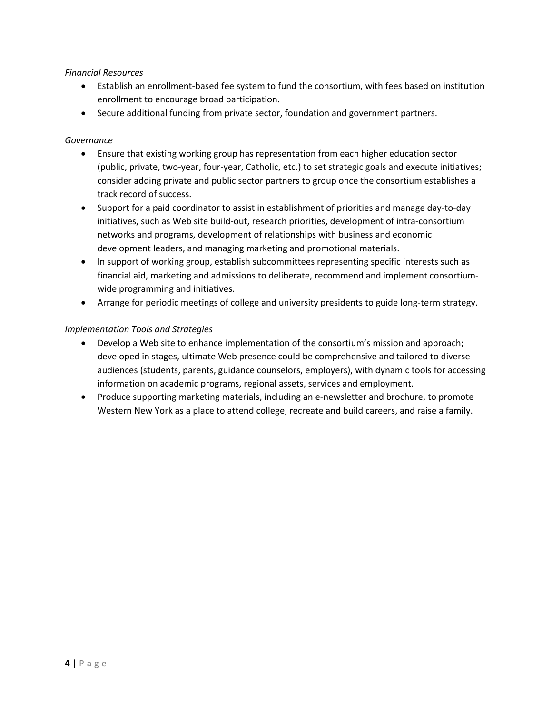### *Financial Resources*

- Establish an enrollment‐based fee system to fund the consortium, with fees based on institution enrollment to encourage broad participation.
- Secure additional funding from private sector, foundation and government partners.

### *Governance*

- Ensure that existing working group has representation from each higher education sector (public, private, two‐year, four‐year, Catholic, etc.) to set strategic goals and execute initiatives; consider adding private and public sector partners to group once the consortium establishes a track record of success.
- Support for a paid coordinator to assist in establishment of priorities and manage day‐to‐day initiatives, such as Web site build‐out, research priorities, development of intra‐consortium networks and programs, development of relationships with business and economic development leaders, and managing marketing and promotional materials.
- In support of working group, establish subcommittees representing specific interests such as financial aid, marketing and admissions to deliberate, recommend and implement consortium‐ wide programming and initiatives.
- Arrange for periodic meetings of college and university presidents to guide long-term strategy.

### *Implementation Tools and Strategies*

- Develop a Web site to enhance implementation of the consortium's mission and approach; developed in stages, ultimate Web presence could be comprehensive and tailored to diverse audiences (students, parents, guidance counselors, employers), with dynamic tools for accessing information on academic programs, regional assets, services and employment.
- Produce supporting marketing materials, including an e-newsletter and brochure, to promote Western New York as a place to attend college, recreate and build careers, and raise a family.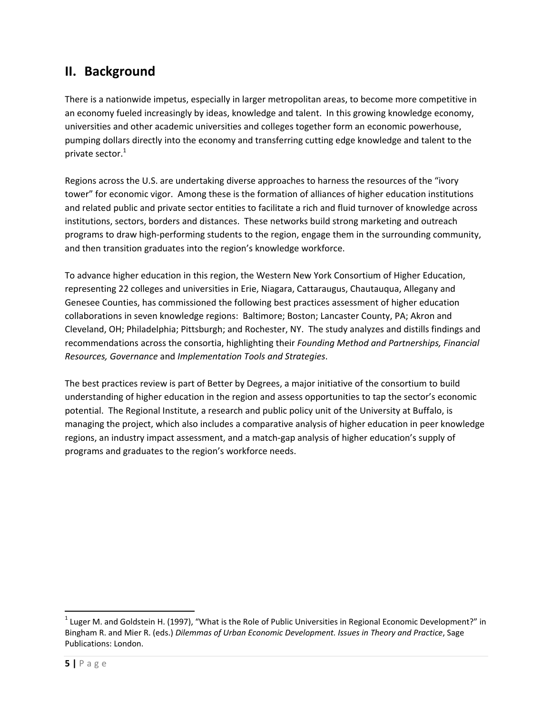# **II. Background**

There is a nationwide impetus, especially in larger metropolitan areas, to become more competitive in an economy fueled increasingly by ideas, knowledge and talent. In this growing knowledge economy, universities and other academic universities and colleges together form an economic powerhouse, pumping dollars directly into the economy and transferring cutting edge knowledge and talent to the private sector.<sup>1</sup>

Regions across the U.S. are undertaking diverse approaches to harness the resources of the "ivory tower" for economic vigor. Among these is the formation of alliances of higher education institutions and related public and private sector entities to facilitate a rich and fluid turnover of knowledge across institutions, sectors, borders and distances. These networks build strong marketing and outreach programs to draw high-performing students to the region, engage them in the surrounding community, and then transition graduates into the region's knowledge workforce.

To advance higher education in this region, the Western New York Consortium of Higher Education, representing 22 colleges and universities in Erie, Niagara, Cattaraugus, Chautauqua, Allegany and Genesee Counties, has commissioned the following best practices assessment of higher education collaborations in seven knowledge regions: Baltimore; Boston; Lancaster County, PA; Akron and Cleveland, OH; Philadelphia; Pittsburgh; and Rochester, NY. The study analyzes and distills findings and recommendations across the consortia, highlighting their *Founding Method and Partnerships, Financial Resources, Governance* and *Implementation Tools and Strategies*.

The best practices review is part of Better by Degrees, a major initiative of the consortium to build understanding of higher education in the region and assess opportunities to tap the sector's economic potential. The Regional Institute, a research and public policy unit of the University at Buffalo, is managing the project, which also includes a comparative analysis of higher education in peer knowledge regions, an industry impact assessment, and a match‐gap analysis of higher education's supply of programs and graduates to the region's workforce needs.

 $1$  Luger M. and Goldstein H. (1997), "What is the Role of Public Universities in Regional Economic Development?" in Bingham R. and Mier R. (eds.) *Dilemmas of Urban Economic Development. Issues in Theory and Practice*, Sage Publications: London.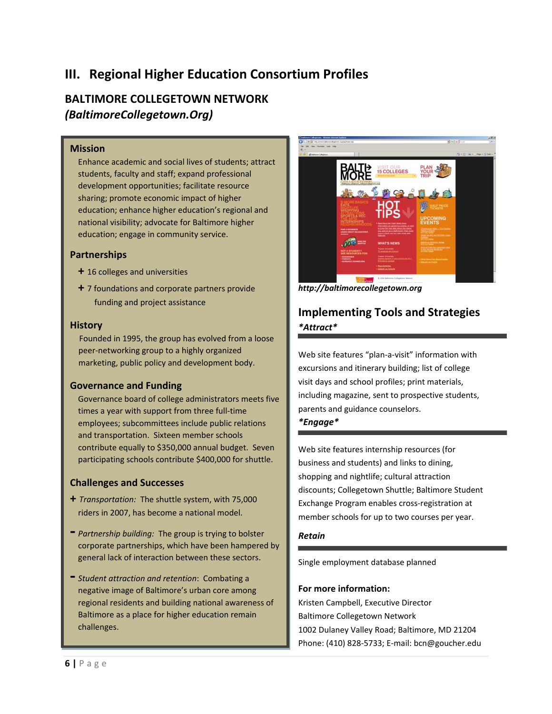# **III. Regional Higher Education Consortium Profiles**

## **BALTIMORE COLLEGETOWN NETWORK** *(BaltimoreCollegetown.Org)*

### **Mission**

Enhance academic and social lives of students; attract students, faculty and staff; expand professional development opportunities; facilitate resource sharing; promote economic impact of higher education; enhance higher education's regional and national visibility; advocate for Baltimore higher education; engage in community service.

## **Partnerships**

- **+** 16 colleges and universities
- **+** 7 foundations and corporate partners provide funding and project assistance

### **History**

Founded in 1995, the group has evolved from a loose peer‐networking group to a highly organized marketing, public policy and development body.

## **Governance and Funding**

Governance board of college administrators meets five times a year with support from three full‐time employees; subcommittees include public relations and transportation. Sixteen member schools contribute equally to \$350,000 annual budget. Seven participating schools contribute \$400,000 for shuttle.

## **Challenges and Successes**

- **+** *Transportation:* The shuttle system, with 75,000 riders in 2007, has become a national model.
- **‐** *Partnership building:* The group is trying to bolster corporate partnerships, which have been hampered by general lack of interaction between these sectors.
- **‐** *Student attraction and retention*: Combating <sup>a</sup> negative image of Baltimore's urban core among regional residents and building national awareness of Baltimore as a place for higher education remain challenges.



*http://baltimorecollegetown.org*

## **Implementing Tools and Strategies** *\*Attract\**

Web site features "plan-a-visit" information with excursions and itinerary building; list of college visit days and school profiles; print materials, including magazine, sent to prospective students, parents and guidance counselors.

## *\*Engage\**

Web site features internship resources (for business and students) and links to dining, shopping and nightlife; cultural attraction discounts; Collegetown Shuttle; Baltimore Student Exchange Program enables cross‐registration at member schools for up to two courses per year.

### *Retain*

Single employment database planned

### **For more information:**

Kristen Campbell, Executive Director Baltimore Collegetown Network 1002 Dulaney Valley Road; Baltimore, MD 21204 Phone: (410) 828‐5733; E‐mail: bcn@goucher.edu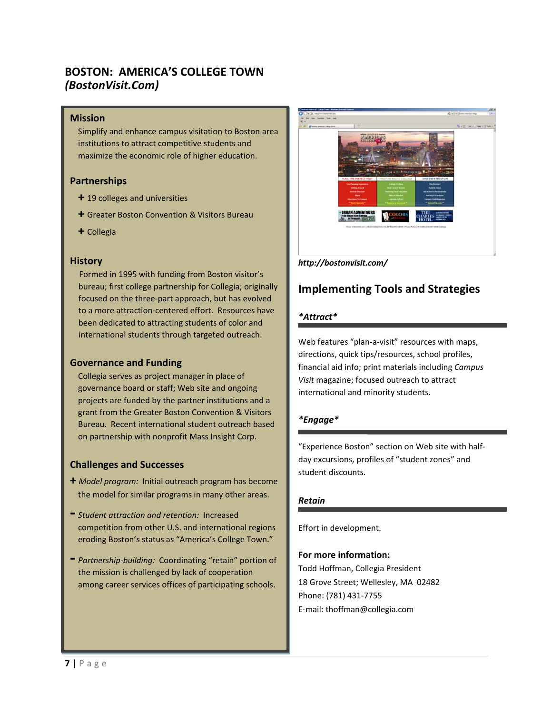## **BOSTON: AMERICA'S COLLEGE TOWN** *(BostonVisit.Com)*

### **Mission**

Simplify and enhance campus visitation to Boston area institutions to attract competitive students and maximize the economic role of higher education.

### **Partnerships**

- **+** 19 colleges and universities
- **+** Greater Boston Convention & Visitors Bureau
- **+** Collegia

### **History**

Formed in 1995 with funding from Boston visitor's bureau; first college partnership for Collegia; originally focused on the three‐part approach, but has evolved to a more attraction‐centered effort. Resources have been dedicated to attracting students of color and international students through targeted outreach.

### **Governance and Funding**

Collegia serves as project manager in place of governance board or staff; Web site and ongoing projects are funded by the partner institutions and a grant from the Greater Boston Convention & Visitors Bureau. Recent international student outreach based on partnership with nonprofit Mass Insight Corp.

### **Challenges and Successes**

- **+** *Model program:* Initial outreach program has become the model for similar programs in many other areas.
- **‐** *Student attraction and retention:* Increased competition from other U.S. and international regions eroding Boston's status as "America's College Town."
- **‐** *Partnership‐building:* Coordinating "retain" portion of the mission is challenged by lack of cooperation among career services offices of participating schools.



### *http://bostonvisit.com/*

## **Implementing Tools and Strategies**

### *\*Attract\**

Web features "plan-a-visit" resources with maps, directions, quick tips/resources, school profiles, financial aid info; print materials including *Campus Visit* magazine; focused outreach to attract international and minority students.

## *\*Engage\**

"Experience Boston" section on Web site with half‐ day excursions, profiles of "student zones" and student discounts.

### *Retain*

Effort in development.

### **For more information:**

Todd Hoffman, Collegia President 18 Grove Street; Wellesley, MA 02482 Phone: (781) 431‐7755 E‐mail: thoffman@collegia.com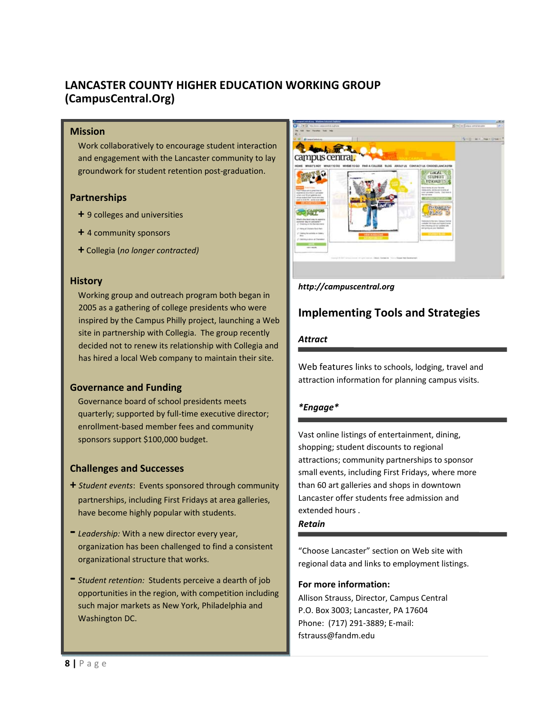## **LANCASTER COUNTY HIGHER EDUCATION WORKING GROUP (CampusCentral.Org)**

### **Mission**

Work collaboratively to encourage student interaction and engagement with the Lancaster community to lay groundwork for student retention post‐graduation.

### **Partnerships**

- **+** 9 colleges and universities
- **+** 4 community sponsors
- **+** Collegia (*no longer contracted)*

### **History**

Working group and outreach program both began in 2005 as a gathering of college presidents who were inspired by the Campus Philly project, launching a Web site in partnership with Collegia. The group recently decided not to renew its relationship with Collegia and has hired a local Web company to maintain their site.

## **Governance and Funding**

Governance board of school presidents meets quarterly; supported by full‐time executive director; enrollment‐based member fees and community sponsors support \$100,000 budget.

## **Challenges and Successes**

- **+** *Student events*: Events sponsored through community partnerships, including First Fridays at area galleries, have become highly popular with students.
- **‐** *Leadership:* With <sup>a</sup> new director every year, organization has been challenged to find a consistent organizational structure that works.
- **‐** *Student retention:* Students perceive <sup>a</sup> dearth of job opportunities in the region, with competition including such major markets as New York, Philadelphia and Washington DC.



### *http://campuscentral.org*

## **Implementing Tools and Strategies**

### *Attract*

Web features links to schools, lodging, travel and attraction information for planning campus visits.

## *\*Engage\**

Vast online listings of entertainment, dining, shopping; student discounts to regional attractions; community partnerships to sponsor small events, including First Fridays, where more than 60 art galleries and shops in downtown Lancaster offer students free admission and extended hours .

### *Retain*

"Choose Lancaster" section on Web site with regional data and links to employment listings.

### **For more information:**

Allison Strauss, Director, Campus Central P.O. Box 3003; Lancaster, PA 17604 Phone: (717) 291‐3889; E‐mail: fstrauss@fandm.edu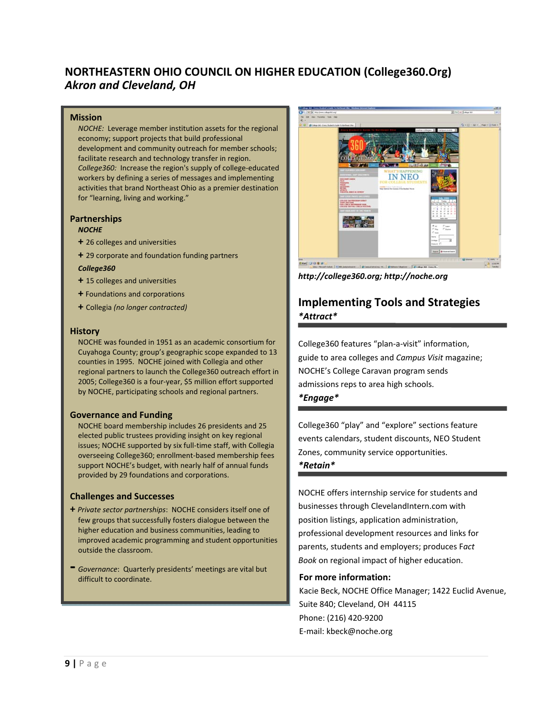## **NORTHEASTERN OHIO COUNCIL ON HIGHER EDUCATION (College360.Org)** *Akron and Cleveland, OH*

#### **Mission**

*NOCHE:* Leverage member institution assets for the regional economy; support projects that build professional development and community outreach for member schools; facilitate research and technology transfer in region. *College360:* Increase the region's supply of college‐educated workers by defining a series of messages and implementing activities that brand Northeast Ohio as a premier destination for "learning, living and working."

#### **Partnerships**

#### *NOCHE*

- **+** 26 colleges and universities
- **+** 29 corporate and foundation funding partners

#### *College360*

- **+** 15 colleges and universities
- **+** Foundations and corporations
- **+** Collegia *(no longer contracted)*

#### **History**

NOCHE was founded in 1951 as an academic consortium for Cuyahoga County; group's geographic scope expanded to 13 counties in 1995. NOCHE joined with Collegia and other regional partners to launch the College360 outreach effort in 2005; College360 is a four‐year, \$5 million effort supported by NOCHE, participating schools and regional partners.

#### **Governance and Funding**

NOCHE board membership includes 26 presidents and 25 elected public trustees providing insight on key regional issues; NOCHE supported by six full-time staff, with Collegia overseeing College360; enrollment‐based membership fees support NOCHE's budget, with nearly half of annual funds provided by 29 foundations and corporations.

#### **Challenges and Successes**

- **+** *Private sector partnerships*: NOCHE considers itself one of few groups that successfully fosters dialogue between the higher education and business communities, leading to improved academic programming and student opportunities outside the classroom.
- **‐** *Governance*: Quarterly presidents' meetings are vital but



*http://college360.org; http://noche.org*

## **Implementing Tools and Strategies**  *\*Attract\**

College360 features "plan‐a‐visit" information, guide to area colleges and *Campus Visit* magazine; NOCHE's College Caravan program sends admissions reps to area high schools. *\*Engage\**

College360 "play" and "explore" sections feature events calendars, student discounts, NEO Student Zones, community service opportunities.

### *\*Retain\**

NOCHE offers internship service for students and businesses through ClevelandIntern.com with position listings, application administration, professional development resources and links for parents, students and employers; produces F*act Book* on regional impact of higher education.

### **For more information:**

Kacie Beck, NOCHE Office Manager; 1422 Euclid Avenue, Suite 840; Cleveland, OH 44115 Phone: (216) 420‐9200 E‐mail: kbeck@noche.org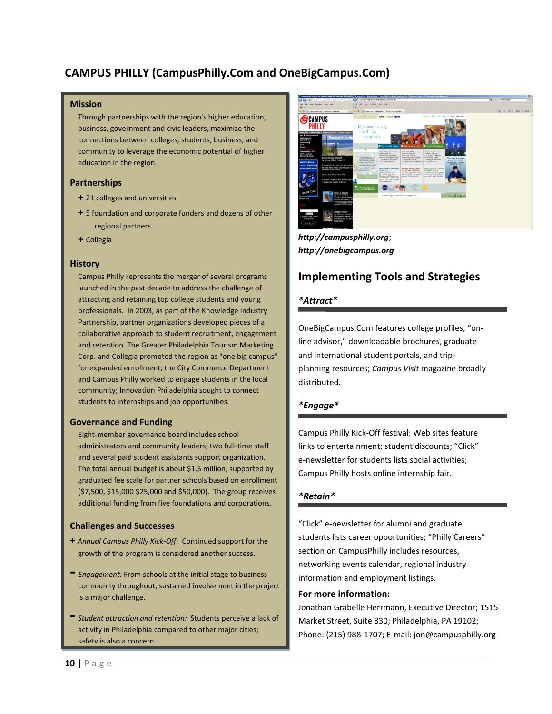## **CAMPUS PHILLY (CampusPhilly.Com and OneBigCampus.Com)**

#### **Mission**

Through partnerships with the region's higher education, business, government and civic leaders, maximize the connections between colleges, students, business, and community to leverage the economic potential of higher education in the region.

### **Partnerships**

- **+** 21 colleges and universities
- **+** 5 foundation and corporate funders and dozens of other regional partners
- **+** Collegia

#### **History**

Campus Philly represents the merger of several programs launched in the past decade to address the challenge of attracting and retaining top college students and young professionals. In 2003, as part of the Knowledge Industry Partnership, partner organizations developed pieces of a collaborative approach to student recruitment, engagement and retention. The Greater Philadelphia Tourism Marketing Corp. and Collegia promoted the region as "one big campus" for expanded enrollment; the City Commerce Department and Campus Philly worked to engage students in the local community; Innovation Philadelphia sought to connect students to internships and job opportunities.

#### **Governance and Funding**

Eight‐member governance board includes school administrators and community leaders; two full‐time staff and several paid student assistants support organization. The total annual budget is about \$1.5 million, supported by graduated fee scale for partner schools based on enrollment (\$7,500, \$15,000 \$25,000 and \$50,000). The group receives additional funding from five foundations and corporations.

### **Challenges and Successes**

- **+** *Annual Campus Philly Kick‐Off*: Continued support for the growth of the program is considered another success.
- **‐** *Engagement:* From schools at the initial stage to business community throughout, sustained involvement in the project is a major challenge.
- **‐** *Student attraction and retention:* Students perceive <sup>a</sup> lack of activity in Philadelphia compared to other major cities; safety is also a concern.



*http://campusphilly.org*; *http://onebigcampus.org*

## **Implementing Tools and Strategies**

### *\*Attract\**

OneBigCampus.Com features college profiles, "on‐ line advisor," downloadable brochures, graduate and international student portals, and trip‐ planning resources; *Campus Visit* magazine broadly distributed.

## *\*Engage\**

Campus Philly Kick‐Off festival; Web sites feature links to entertainment; student discounts; "Click" e‐newsletter for students lists social activities; Campus Philly hosts online internship fair.

## *\*Retain\**

"Click" e‐newsletter for alumni and graduate students lists career opportunities; "Philly Careers" section on CampusPhilly includes resources, networking events calendar, regional industry information and employment listings.

### **For more information:**

Jonathan Grabelle Herrmann, Executive Director; 1515 Market Street, Suite 830; Philadelphia, PA 19102; Phone: (215) 988‐1707; E‐mail: jon@campusphilly.org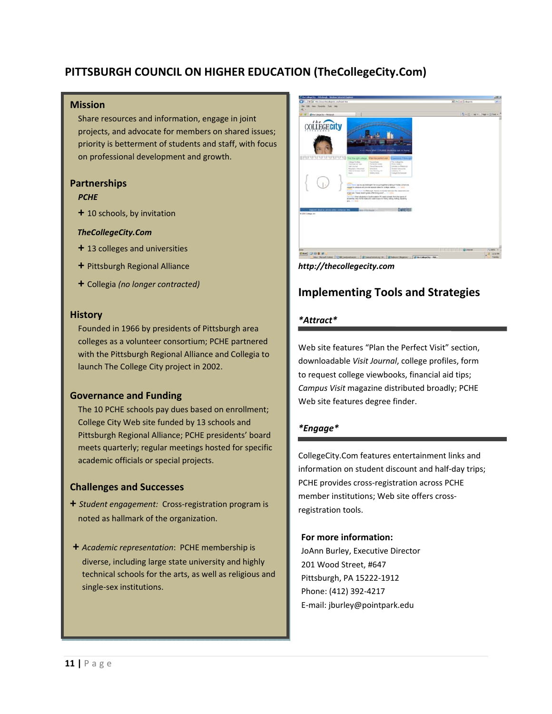## **PITTSBURGH COUNCIL ON HIGHER EDUCATION (TheCollegeCity.Com)**

### **Mission**

Share resources and information, engage in joint projects, and advocate for members on shared issues; priority is betterment of students and staff, with focus on professional development and growth.

### **Partnerships**

### *PCHE*

**+** 10 schools, by invitation

### *TheCollegeCity.Com*

- **+** 13 colleges and universities
- **+** Pittsburgh Regional Alliance
- **+** Collegia *(no longer contracted)*

### **History**

Founded in 1966 by presidents of Pittsburgh area colleges as a volunteer consortium; PCHE partnered with the Pittsburgh Regional Alliance and Collegia to launch The College City project in 2002.

## **Governance and Funding**

The 10 PCHE schools pay dues based on enrollment; College City Web site funded by 13 schools and Pittsburgh Regional Alliance; PCHE presidents' board meets quarterly; regular meetings hosted for specific academic officials or special projects.

## **Challenges and Successes**

- **+** *Student engagement:* Cross‐registration program is noted as hallmark of the organization.
- **+** *Academic representation*: PCHE membership is diverse, including large state university and highly technical schools for the arts, as well as religious and single‐sex institutions.



*http://thecollegecity.com*

## **Implementing Tools and Strategies**

### *\*Attract\**

Web site features "Plan the Perfect Visit" section, downloadable *Visit Journal*, college profiles, form to request college viewbooks, financial aid tips; *Campus Visit* magazine distributed broadly; PCHE Web site features degree finder.

## *\*Engage\**

CollegeCity.Com features entertainment links and information on student discount and half‐day trips; PCHE provides cross‐registration across PCHE member institutions; Web site offers cross‐ registration tools.

### **For more information:**

 JoAnn Burley, Executive Director 201 Wood Street, #647 Pittsburgh, PA 15222‐1912 Phone: (412) 392‐4217 E‐mail: jburley@pointpark.edu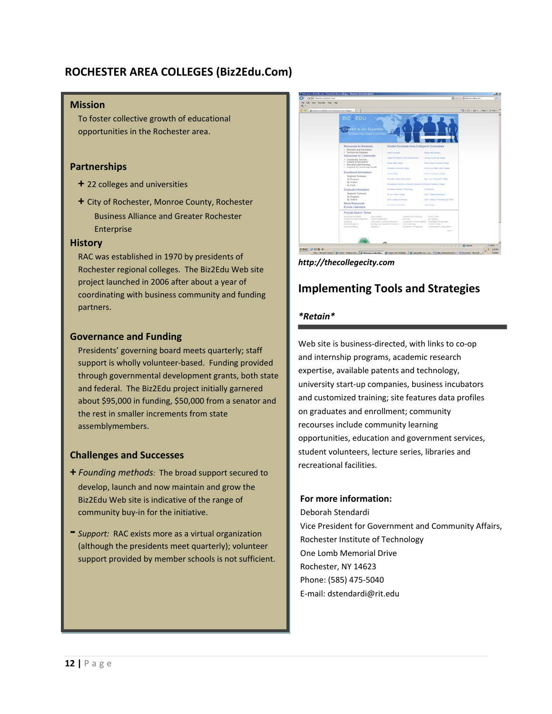## **ROCHESTER AREA COLLEGES (Biz2Edu.Com)**

#### **Mission**

To foster collective growth of educational opportunities in the Rochester area.

## **Partnerships**

- **+** 22 colleges and universities
- **+** City of Rochester, Monroe County, Rochester Business Alliance and Greater Rochester Enterprise

### **History**

RAC was established in 1970 by presidents of Rochester regional colleges. The Biz2Edu Web site project launched in 2006 after about a year of coordinating with business community and funding partners.

### **Governance and Funding**

Presidents' governing board meets quarterly; staff support is wholly volunteer‐based. Funding provided through governmental development grants, both state and federal. The Biz2Edu project initially garnered about \$95,000 in funding, \$50,000 from a senator and the rest in smaller increments from state assemblymembers.

## **Challenges and Successes**

- **+** *Founding methods:* The broad support secured to develop, launch and now maintain and grow the Biz2Edu Web site is indicative of the range of community buy‐in for the initiative.
- **‐** *Support:* RAC exists more as <sup>a</sup> virtual organization (although the presidents meet quarterly); volunteer support provided by member schools is not sufficient.



*http://thecollegecity.com*

## **Implementing Tools and Strategies**

## *\*Retain\**

Web site is business-directed, with links to co-op and internship programs, academic research expertise, available patents and technology, university start‐up companies, business incubators and customized training; site features data profiles on graduates and enrollment; community recourses include community learning opportunities, education and government services, student volunteers, lecture series, libraries and recreational facilities.

### **For more information:**

**IV. Rechnology**<br> **Charlomb Memorial Drive A. Founding Methods and Partnerships** Phone: (585) 475‐5040 Deborah Stendardi Vice President for Government and Community Affairs, One Lomb Memorial Drive Rochester, NY 14623 E‐mail: dstendardi@rit.edu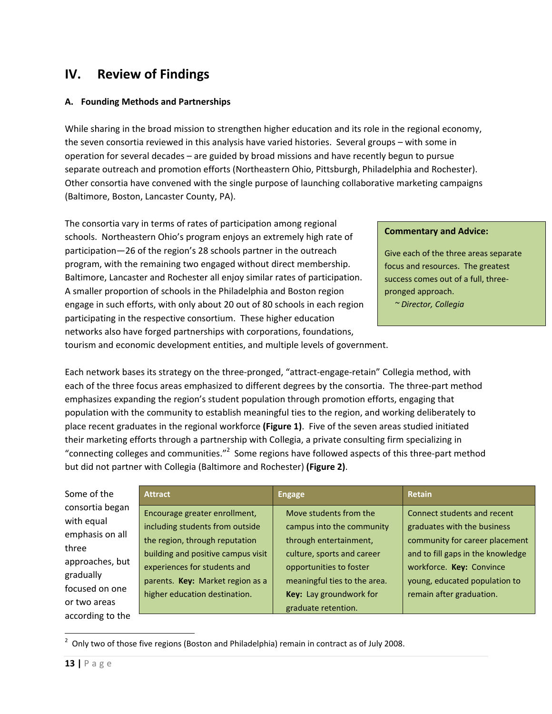# **IV. Review of Findings**

## **A. Founding Methods and Partnerships**

While sharing in the broad mission to strengthen higher education and its role in the regional economy, the seven consortia reviewed in this analysis have varied histories. Several groups – with some in operation for several decades – are guided by broad missions and have recently begun to pursue separate outreach and promotion efforts (Northeastern Ohio, Pittsburgh, Philadelphia and Rochester). Other consortia have convened with the single purpose of launching collaborative marketing campaigns (Baltimore, Boston, Lancaster County, PA).

The consortia vary in terms of rates of participation among regional schools. Northeastern Ohio's program enjoys an extremely high rate of participation—26 of the region's 28 schools partner in the outreach program, with the remaining two engaged without direct membership. Baltimore, Lancaster and Rochester all enjoy similar rates of participation. A smaller proportion of schools in the Philadelphia and Boston region engage in such efforts, with only about 20 out of 80 schools in each region participating in the respective consortium. These higher education networks also have forged partnerships with corporations, foundations,

### **Commentary and Advice:**

Give each of the three areas separate focus and resources. The greatest success comes out of a full, three‐ pronged approach.

 *~ Director, Collegia*

tourism and economic development entities, and multiple levels of government.

Each network bases its strategy on the three‐pronged, "attract‐engage‐retain" Collegia method, with each of the three focus areas emphasized to different degrees by the consortia. The three-part method emphasizes expanding the region's student population through promotion efforts, engaging that population with the community to establish meaningful ties to the region, and working deliberately to place recent graduates in the regional workforce **(Figure 1)**. Five of the seven areas studied initiated their marketing efforts through a partnership with Collegia, a private consulting firm specializing in "connecting colleges and communities."<sup>2</sup> Some regions have followed aspects of this three-part method but did not partner with Collegia (Baltimore and Rochester) **(Figure 2)**.

| Some of the      | <b>Attract</b>                     | <b>Engage</b>                | <b>Retain</b>                     |
|------------------|------------------------------------|------------------------------|-----------------------------------|
| consortia began  | Encourage greater enrollment,      | Move students from the       | Connect students and recent       |
| with equal       | including students from outside    | campus into the community    | graduates with the business       |
| emphasis on all  | the region, through reputation     | through entertainment,       | community for career placement    |
| three            | building and positive campus visit | culture, sports and career   | and to fill gaps in the knowledge |
| approaches, but  |                                    |                              |                                   |
| gradually        | experiences for students and       | opportunities to foster      | workforce. Key: Convince          |
| focused on one   | parents. Key: Market region as a   | meaningful ties to the area. | young, educated population to     |
| or two areas     | higher education destination.      | Key: Lay groundwork for      | remain after graduation.          |
| according to the |                                    | graduate retention.          |                                   |

  $2$  Only two of those five regions (Boston and Philadelphia) remain in contract as of July 2008.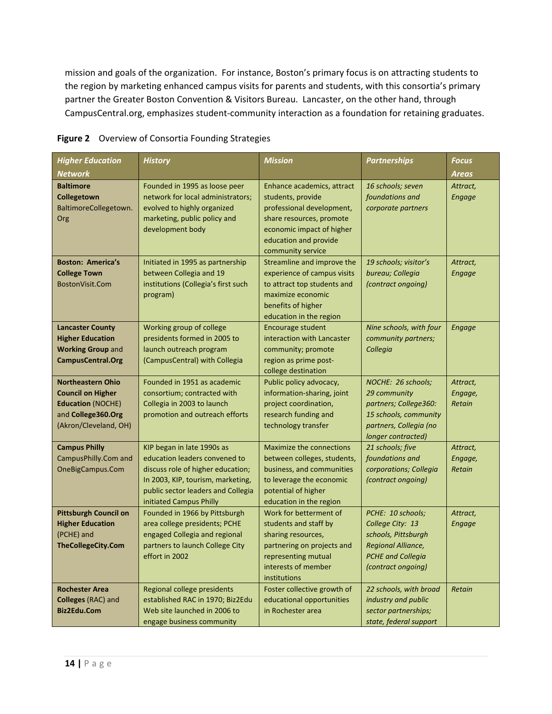mission and goals of the organization. For instance, Boston's primary focus is on attracting students to the region by marketing enhanced campus visits for parents and students, with this consortia's primary partner the Greater Boston Convention & Visitors Bureau. Lancaster, on the other hand, through CampusCentral.org, emphasizes student‐community interaction as a foundation for retaining graduates.

| <b>Higher Education</b><br><b>Network</b>                                                                                       | <b>History</b>                                                                                                                                                                                         | <b>Mission</b>                                                                                                                                                                      | <b>Partnerships</b>                                                                                                                  | Focus<br>Areas                |
|---------------------------------------------------------------------------------------------------------------------------------|--------------------------------------------------------------------------------------------------------------------------------------------------------------------------------------------------------|-------------------------------------------------------------------------------------------------------------------------------------------------------------------------------------|--------------------------------------------------------------------------------------------------------------------------------------|-------------------------------|
| <b>Baltimore</b><br>Collegetown<br>BaltimoreCollegetown.<br>Org                                                                 | Founded in 1995 as loose peer<br>network for local administrators;<br>evolved to highly organized<br>marketing, public policy and<br>development body                                                  | Enhance academics, attract<br>students, provide<br>professional development,<br>share resources, promote<br>economic impact of higher<br>education and provide<br>community service | 16 schools; seven<br>foundations and<br>corporate partners                                                                           | Attract,<br><b>Engage</b>     |
| <b>Boston: America's</b><br><b>College Town</b><br>BostonVisit.Com                                                              | Initiated in 1995 as partnership<br>between Collegia and 19<br>institutions (Collegia's first such<br>program)                                                                                         | Streamline and improve the<br>experience of campus visits<br>to attract top students and<br>maximize economic<br>benefits of higher<br>education in the region                      | 19 schools; visitor's<br>bureau; Collegia<br>(contract ongoing)                                                                      | Attract,<br><b>Engage</b>     |
| <b>Lancaster County</b><br><b>Higher Education</b><br><b>Working Group and</b><br><b>CampusCentral.Org</b>                      | Working group of college<br>presidents formed in 2005 to<br>launch outreach program<br>(CampusCentral) with Collegia                                                                                   | <b>Encourage student</b><br>interaction with Lancaster<br>community; promote<br>region as prime post-<br>college destination                                                        | Nine schools, with four<br>community partners;<br>Collegia                                                                           | <b>Engage</b>                 |
| <b>Northeastern Ohio</b><br><b>Council on Higher</b><br><b>Education (NOCHE)</b><br>and College360.Org<br>(Akron/Cleveland, OH) | Founded in 1951 as academic<br>consortium; contracted with<br>Collegia in 2003 to launch<br>promotion and outreach efforts                                                                             | Public policy advocacy,<br>information-sharing, joint<br>project coordination,<br>research funding and<br>technology transfer                                                       | NOCHE: 26 schools;<br>29 community<br>partners; College360:<br>15 schools, community<br>partners, Collegia (no<br>longer contracted) | Attract,<br>Engage,<br>Retain |
| <b>Campus Philly</b><br>CampusPhilly.Com and<br>OneBigCampus.Com                                                                | KIP began in late 1990s as<br>education leaders convened to<br>discuss role of higher education;<br>In 2003, KIP, tourism, marketing,<br>public sector leaders and Collegia<br>initiated Campus Philly | Maximize the connections<br>between colleges, students,<br>business, and communities<br>to leverage the economic<br>potential of higher<br>education in the region                  | 21 schools; five<br>foundations and<br>corporations; Collegia<br>(contract ongoing)                                                  | Attract,<br>Engage,<br>Retain |
| <b>Pittsburgh Council on</b><br><b>Higher Education</b><br>(PCHE) and<br><b>TheCollegeCity.Com</b>                              | Founded in 1966 by Pittsburgh<br>area college presidents; PCHE<br>engaged Collegia and regional<br>partners to launch College City<br>effort in 2002                                                   | Work for betterment of<br>students and staff by<br>sharing resources,<br>partnering on projects and<br>representing mutual<br>interests of member<br>institutions                   | PCHE: 10 schools;<br>College City: 13<br>schools, Pittsburgh<br>Regional Alliance,<br><b>PCHE and Collegia</b><br>(contract ongoing) | Attract,<br><b>Engage</b>     |
| <b>Rochester Area</b><br>Colleges (RAC) and<br>Biz2Edu.Com                                                                      | Regional college presidents<br>established RAC in 1970; Biz2Edu<br>Web site launched in 2006 to<br>engage business community                                                                           | Foster collective growth of<br>educational opportunities<br>in Rochester area                                                                                                       | 22 schools, with broad<br>industry and public<br>sector partnerships;<br>state, federal support                                      | Retain                        |

### **Figure 2** Overview of Consortia Founding Strategies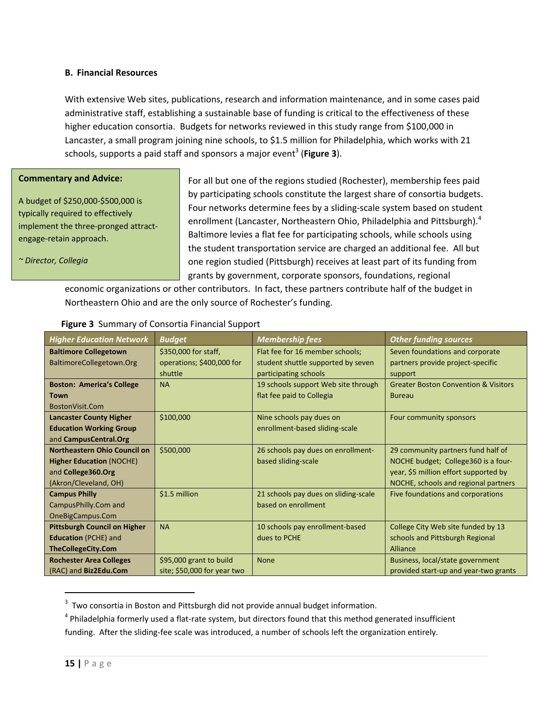### **B. Financial Resources**

With extensive Web sites, publications, research and information maintenance, and in some cases paid administrative staff, establishing a sustainable base of funding is critical to the effectiveness of these higher education consortia. Budgets for networks reviewed in this study range from \$100,000 in Lancaster, a small program joining nine schools, to \$1.5 million for Philadelphia, which works with 21 schools, supports a paid staff and sponsors a major event<sup>3</sup> (Figure 3).

#### **Commentary and Advice:**

A budget of \$250,000‐\$500,000 is typically required to effectively implement the three‐pronged attract‐ engage‐retain approach.

*~ Director, Collegia* 

For all but one of the regions studied (Rochester), membership fees paid by participating schools constitute the largest share of consortia budgets. Four networks determine fees by a sliding‐scale system based on student enrollment (Lancaster, Northeastern Ohio, Philadelphia and Pittsburgh). $4$ Baltimore levies a flat fee for participating schools, while schools using the student transportation service are charged an additional fee. All but one region studied (Pittsburgh) receives at least part of its funding from grants by government, corporate sponsors, foundations, regional

economic organizations or other contributors. In fact, these partners contribute half of the budget in Northeastern Ohio and are the only source of Rochester's funding.

| <b>Higher Education Network</b>     | <b>Budget</b>               | <b>Membership fees</b>               | <b>Other funding sources</b>                    |
|-------------------------------------|-----------------------------|--------------------------------------|-------------------------------------------------|
| <b>Baltimore Collegetown</b>        | \$350,000 for staff,        | Flat fee for 16 member schools;      | Seven foundations and corporate                 |
| BaltimoreCollegetown.Org            | operations; \$400,000 for   | student shuttle supported by seven   | partners provide project-specific               |
|                                     | shuttle                     | participating schools                | support                                         |
| <b>Boston: America's College</b>    | <b>NA</b>                   | 19 schools support Web site through  | <b>Greater Boston Convention &amp; Visitors</b> |
| <b>Town</b>                         |                             | flat fee paid to Collegia            | <b>Bureau</b>                                   |
| BostonVisit.Com                     |                             |                                      |                                                 |
| <b>Lancaster County Higher</b>      | \$100,000                   | Nine schools pay dues on             | Four community sponsors                         |
| <b>Education Working Group</b>      |                             | enrollment-based sliding-scale       |                                                 |
| and CampusCentral.Org               |                             |                                      |                                                 |
| <b>Northeastern Ohio Council on</b> | \$500,000                   | 26 schools pay dues on enrollment-   | 29 community partners fund half of              |
| <b>Higher Education (NOCHE)</b>     |                             | based sliding-scale                  | NOCHE budget; College 360 is a four-            |
| and College360.Org                  |                             |                                      | year, \$5 million effort supported by           |
| (Akron/Cleveland, OH)               |                             |                                      | NOCHE, schools and regional partners            |
| <b>Campus Philly</b>                | \$1.5 million               | 21 schools pay dues on sliding-scale | Five foundations and corporations               |
| CampusPhilly.Com and                |                             | based on enrollment                  |                                                 |
| OneBigCampus.Com                    |                             |                                      |                                                 |
| <b>Pittsburgh Council on Higher</b> | <b>NA</b>                   | 10 schools pay enrollment-based      | College City Web site funded by 13              |
| <b>Education</b> (PCHE) and         |                             | dues to PCHE                         | schools and Pittsburgh Regional                 |
| <b>TheCollegeCity.Com</b>           |                             |                                      | Alliance                                        |
| <b>Rochester Area Colleges</b>      | \$95,000 grant to build     | <b>None</b>                          | Business, local/state government                |
| (RAC) and Biz2Edu.Com               | site; \$50,000 for year two |                                      | provided start-up and year-two grants           |

### **Figure 3** Summary of Consortia Financial Support

 $3$  Two consortia in Boston and Pittsburgh did not provide annual budget information.

 $4$  Philadelphia formerly used a flat-rate system, but directors found that this method generated insufficient

funding. After the sliding-fee scale was introduced, a number of schools left the organization entirely.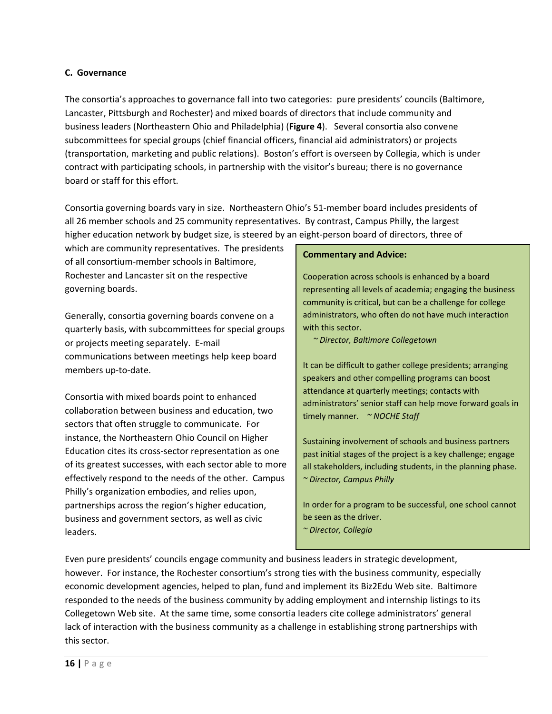### **C. Governance**

The consortia's approaches to governance fall into two categories: pure presidents' councils (Baltimore, Lancaster, Pittsburgh and Rochester) and mixed boards of directors that include community and business leaders (Northeastern Ohio and Philadelphia) (**Figure 4**). Several consortia also convene subcommittees for special groups (chief financial officers, financial aid administrators) or projects (transportation, marketing and public relations). Boston's effort is overseen by Collegia, which is under contract with participating schools, in partnership with the visitor's bureau; there is no governance board or staff for this effort.

Consortia governing boards vary in size. Northeastern Ohio's 51‐member board includes presidents of all 26 member schools and 25 community representatives. By contrast, Campus Philly, the largest higher education network by budget size, is steered by an eight-person board of directors, three of

which are community representatives. The presidents of all consortium‐member schools in Baltimore, Rochester and Lancaster sit on the respective governing boards.

Generally, consortia governing boards convene on a quarterly basis, with subcommittees for special groups or projects meeting separately. E‐mail communications between meetings help keep board members up‐to‐date.

Consortia with mixed boards point to enhanced collaboration between business and education, two sectors that often struggle to communicate. For instance, the Northeastern Ohio Council on Higher Education cites its cross‐sector representation as one of its greatest successes, with each sector able to more effectively respond to the needs of the other. Campus Philly's organization embodies, and relies upon, partnerships across the region's higher education, business and government sectors, as well as civic leaders.

#### **Commentary and Advice:**

Cooperation across schools is enhanced by a board representing all levels of academia; engaging the business community is critical, but can be a challenge for college administrators, who often do not have much interaction with this sector.

 *~ Director, Baltimore Collegetown*

It can be difficult to gather college presidents; arranging speakers and other compelling programs can boost attendance at quarterly meetings; contacts with administrators' senior staff can help move forward goals in timely manner. *~ NOCHE Staff*

Sustaining involvement of schools and business partners past initial stages of the project is a key challenge; engage all stakeholders, including students, in the planning phase. *~ Director, Campus Philly*

In order for a program to be successful, one school cannot be seen as the driver. *~ Director, Collegia*

Even pure presidents' councils engage community and business leaders in strategic development, however. For instance, the Rochester consortium's strong ties with the business community, especially economic development agencies, helped to plan, fund and implement its Biz2Edu Web site. Baltimore responded to the needs of the business community by adding employment and internship listings to its Collegetown Web site. At the same time, some consortia leaders cite college administrators' general lack of interaction with the business community as a challenge in establishing strong partnerships with this sector.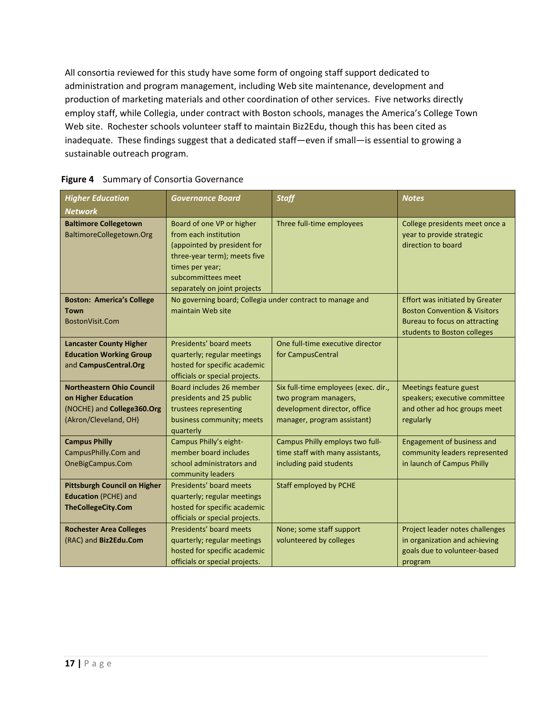All consortia reviewed for this study have some form of ongoing staff support dedicated to administration and program management, including Web site maintenance, development and production of marketing materials and other coordination of other services. Five networks directly employ staff, while Collegia, under contract with Boston schools, manages the America's College Town Web site. Rochester schools volunteer staff to maintain Biz2Edu, though this has been cited as inadequate. These findings suggest that a dedicated staff—even if small—is essential to growing a sustainable outreach program.

| <b>Higher Education</b><br><b>Network</b>                          | <b>Governance Board</b>                                                        | <b>Staff</b>                                                  | <b>Notes</b>                                                                      |
|--------------------------------------------------------------------|--------------------------------------------------------------------------------|---------------------------------------------------------------|-----------------------------------------------------------------------------------|
| <b>Baltimore Collegetown</b>                                       | Board of one VP or higher                                                      | Three full-time employees                                     | College presidents meet once a                                                    |
| BaltimoreCollegetown.Org                                           | from each institution                                                          |                                                               | year to provide strategic                                                         |
|                                                                    | (appointed by president for                                                    |                                                               | direction to board                                                                |
|                                                                    | three-year term); meets five                                                   |                                                               |                                                                                   |
|                                                                    | times per year;                                                                |                                                               |                                                                                   |
|                                                                    | subcommittees meet                                                             |                                                               |                                                                                   |
| <b>Boston: America's College</b>                                   | separately on joint projects                                                   |                                                               |                                                                                   |
| Town                                                               | No governing board; Collegia under contract to manage and<br>maintain Web site |                                                               | <b>Effort was initiated by Greater</b><br><b>Boston Convention &amp; Visitors</b> |
| BostonVisit.Com                                                    |                                                                                |                                                               | <b>Bureau to focus on attracting</b>                                              |
|                                                                    |                                                                                |                                                               | students to Boston colleges                                                       |
| <b>Lancaster County Higher</b>                                     | Presidents' board meets                                                        | One full-time executive director                              |                                                                                   |
| <b>Education Working Group</b>                                     | quarterly; regular meetings                                                    | for CampusCentral                                             |                                                                                   |
| and CampusCentral.Org                                              | hosted for specific academic                                                   |                                                               |                                                                                   |
|                                                                    | officials or special projects.                                                 |                                                               |                                                                                   |
| <b>Northeastern Ohio Council</b><br>on Higher Education            | Board includes 26 member<br>presidents and 25 public                           | Six full-time employees (exec. dir.,<br>two program managers, | Meetings feature guest<br>speakers; executive committee                           |
| (NOCHE) and College360.Org                                         | trustees representing                                                          | development director, office                                  | and other ad hoc groups meet                                                      |
| (Akron/Cleveland, OH)                                              | business community; meets                                                      | manager, program assistant)                                   | regularly                                                                         |
|                                                                    | quarterly                                                                      |                                                               |                                                                                   |
| <b>Campus Philly</b>                                               | Campus Philly's eight-                                                         | Campus Philly employs two full-                               | <b>Engagement of business and</b>                                                 |
| CampusPhilly.Com and                                               | member board includes                                                          | time staff with many assistants,                              | community leaders represented                                                     |
| OneBigCampus.Com                                                   | school administrators and                                                      | including paid students                                       | in launch of Campus Philly                                                        |
|                                                                    | community leaders<br>Presidents' board meets                                   |                                                               |                                                                                   |
| <b>Pittsburgh Council on Higher</b><br><b>Education</b> (PCHE) and | quarterly; regular meetings                                                    | <b>Staff employed by PCHE</b>                                 |                                                                                   |
| <b>TheCollegeCity.Com</b>                                          | hosted for specific academic                                                   |                                                               |                                                                                   |
|                                                                    | officials or special projects.                                                 |                                                               |                                                                                   |
| <b>Rochester Area Colleges</b>                                     | Presidents' board meets                                                        | None; some staff support                                      | Project leader notes challenges                                                   |
| (RAC) and Biz2Edu.Com                                              | quarterly; regular meetings                                                    | volunteered by colleges                                       | in organization and achieving                                                     |
|                                                                    | hosted for specific academic                                                   |                                                               | goals due to volunteer-based                                                      |
|                                                                    | officials or special projects.                                                 |                                                               | program                                                                           |

### **Figure 4** Summary of Consortia Governance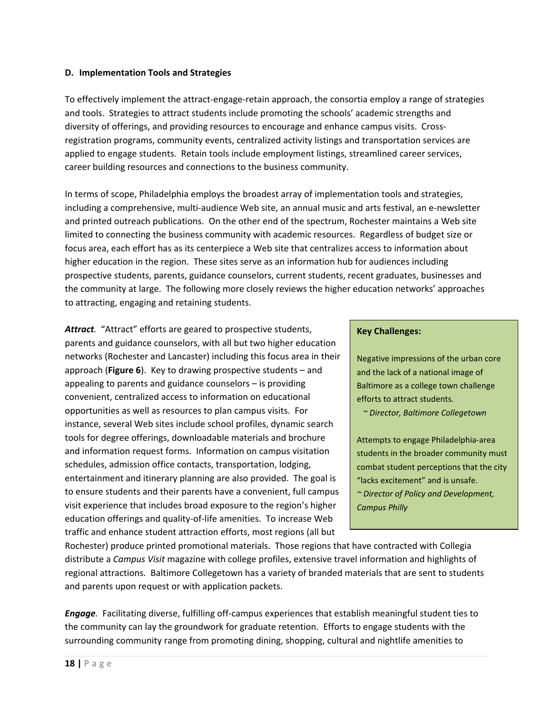### **D. Implementation Tools and Strategies**

To effectively implement the attract‐engage‐retain approach, the consortia employ a range of strategies and tools. Strategies to attract students include promoting the schools' academic strengths and diversity of offerings, and providing resources to encourage and enhance campus visits. Cross‐ registration programs, community events, centralized activity listings and transportation services are applied to engage students. Retain tools include employment listings, streamlined career services, career building resources and connections to the business community.

In terms of scope, Philadelphia employs the broadest array of implementation tools and strategies, including a comprehensive, multi‐audience Web site, an annual music and arts festival, an e‐newsletter and printed outreach publications. On the other end of the spectrum, Rochester maintains a Web site limited to connecting the business community with academic resources. Regardless of budget size or focus area, each effort has as its centerpiece a Web site that centralizes access to information about higher education in the region. These sites serve as an information hub for audiences including prospective students, parents, guidance counselors, current students, recent graduates, businesses and the community at large. The following more closely reviews the higher education networks' approaches to attracting, engaging and retaining students.

Attract. "Attract" efforts are geared to prospective students, parents and guidance counselors, with all but two higher education networks (Rochester and Lancaster) including this focus area in their approach (**Figure 6**). Key to drawing prospective students – and appealing to parents and guidance counselors – is providing convenient, centralized access to information on educational opportunities as well as resources to plan campus visits. For instance, several Web sites include school profiles, dynamic search tools for degree offerings, downloadable materials and brochure and information request forms. Information on campus visitation schedules, admission office contacts, transportation, lodging, entertainment and itinerary planning are also provided. The goal is to ensure students and their parents have a convenient, full campus visit experience that includes broad exposure to the region's higher education offerings and quality‐of‐life amenities. To increase Web traffic and enhance student attraction efforts, most regions (all but

### **Key Challenges:**

Negative impressions of the urban core and the lack of a national image of Baltimore as a college town challenge efforts to attract students.

 *~ Director, Baltimore Collegetown*

Attempts to engage Philadelphia‐area students in the broader community must combat student perceptions that the city "lacks excitement" and is unsafe. *~ Director of Policy and Development, Campus Philly*

Rochester) produce printed promotional materials. Those regions that have contracted with Collegia distribute a *Campus Visit* magazine with college profiles, extensive travel information and highlights of regional attractions. Baltimore Collegetown has a variety of branded materials that are sent to students and parents upon request or with application packets.

*Engage.* Facilitating diverse, fulfilling off‐campus experiences that establish meaningful student ties to the community can lay the groundwork for graduate retention. Efforts to engage students with the surrounding community range from promoting dining, shopping, cultural and nightlife amenities to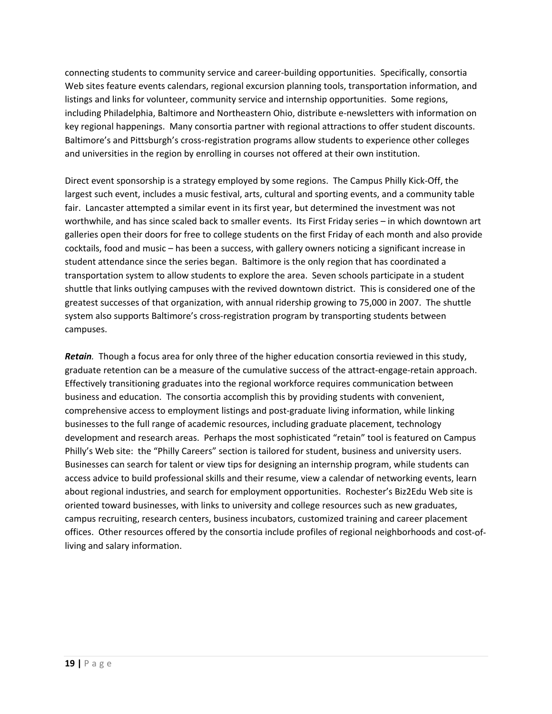connecting students to community service and career‐building opportunities. Specifically, consortia Web sites feature events calendars, regional excursion planning tools, transportation information, and listings and links for volunteer, community service and internship opportunities. Some regions, including Philadelphia, Baltimore and Northeastern Ohio, distribute e‐newsletters with information on key regional happenings. Many consortia partner with regional attractions to offer student discounts. Baltimore's and Pittsburgh's cross‐registration programs allow students to experience other colleges and universities in the region by enrolling in courses not offered at their own institution.

Direct event sponsorship is a strategy employed by some regions. The Campus Philly Kick‐Off, the largest such event, includes a music festival, arts, cultural and sporting events, and a community table fair. Lancaster attempted a similar event in its first year, but determined the investment was not worthwhile, and has since scaled back to smaller events. Its First Friday series – in which downtown art galleries open their doors for free to college students on the first Friday of each month and also provide cocktails, food and music – has been a success, with gallery owners noticing a significant increase in student attendance since the series began. Baltimore is the only region that has coordinated a transportation system to allow students to explore the area. Seven schools participate in a student shuttle that links outlying campuses with the revived downtown district. This is considered one of the greatest successes of that organization, with annual ridership growing to 75,000 in 2007. The shuttle system also supports Baltimore's cross-registration program by transporting students between campuses.

**Retain**. Though a focus area for only three of the higher education consortia reviewed in this study, graduate retention can be a measure of the cumulative success of the attract-engage-retain approach. Effectively transitioning graduates into the regional workforce requires communication between business and education. The consortia accomplish this by providing students with convenient, comprehensive access to employment listings and post-graduate living information, while linking businesses to the full range of academic resources, including graduate placement, technology development and research areas. Perhaps the most sophisticated "retain" tool is featured on Campus Philly's Web site: the "Philly Careers" section is tailored for student, business and university users. Businesses can search for talent or view tips for designing an internship program, while students can access advice to build professional skills and their resume, view a calendar of networking events, learn about regional industries, and search for employment opportunities. Rochester's Biz2Edu Web site is oriented toward businesses, with links to university and college resources such as new graduates, campus recruiting, research centers, business incubators, customized training and career placement offices. Other resources offered by the consortia include profiles of regional neighborhoods and cost‐of‐ living and salary information.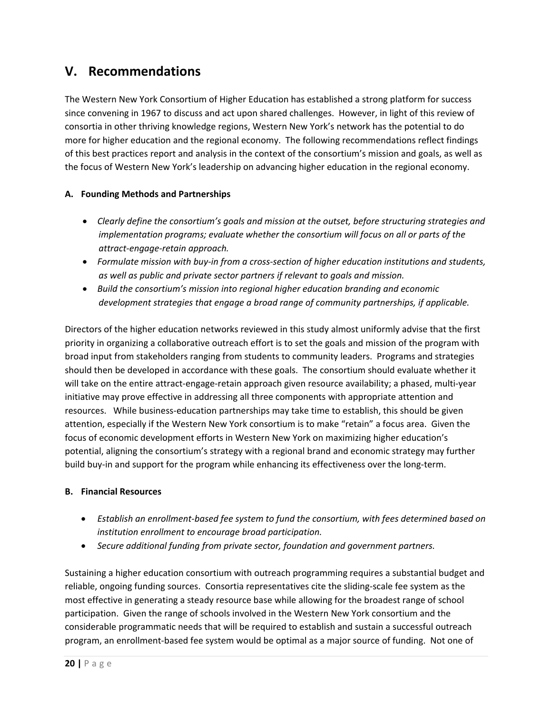# **V. Recommendations**

The Western New York Consortium of Higher Education has established a strong platform for success since convening in 1967 to discuss and act upon shared challenges. However, in light of this review of consortia in other thriving knowledge regions, Western New York's network has the potential to do more for higher education and the regional economy. The following recommendations reflect findings of this best practices report and analysis in the context of the consortium's mission and goals, as well as the focus of Western New York's leadership on advancing higher education in the regional economy.

## **A. Founding Methods and Partnerships**

- *Clearly define the consortium's goals and mission at the outset, before structuring strategies and implementation programs; evaluate whether the consortium will focus on all or parts of the attract‐engage‐retain approach.*
- *Formulate mission with buy‐in from a cross‐section of higher education institutions and students, as well as public and private sector partners if relevant to goals and mission.*
- *Build the consortium's mission into regional higher education branding and economic development strategies that engage a broad range of community partnerships, if applicable.*

Directors of the higher education networks reviewed in this study almost uniformly advise that the first priority in organizing a collaborative outreach effort is to set the goals and mission of the program with broad input from stakeholders ranging from students to community leaders. Programs and strategies should then be developed in accordance with these goals. The consortium should evaluate whether it will take on the entire attract-engage-retain approach given resource availability; a phased, multi-year initiative may prove effective in addressing all three components with appropriate attention and resources. While business-education partnerships may take time to establish, this should be given attention, especially if the Western New York consortium is to make "retain" a focus area. Given the focus of economic development efforts in Western New York on maximizing higher education's potential, aligning the consortium's strategy with a regional brand and economic strategy may further build buy-in and support for the program while enhancing its effectiveness over the long-term.

## **B. Financial Resources**

- *Establish an enrollment‐based fee system to fund the consortium, with fees determined based on institution enrollment to encourage broad participation.*
- *Secure additional funding from private sector, foundation and government partners.*

Sustaining a higher education consortium with outreach programming requires a substantial budget and reliable, ongoing funding sources. Consortia representatives cite the sliding‐scale fee system as the most effective in generating a steady resource base while allowing for the broadest range of school participation. Given the range of schools involved in the Western New York consortium and the considerable programmatic needs that will be required to establish and sustain a successful outreach program, an enrollment‐based fee system would be optimal as a major source of funding. Not one of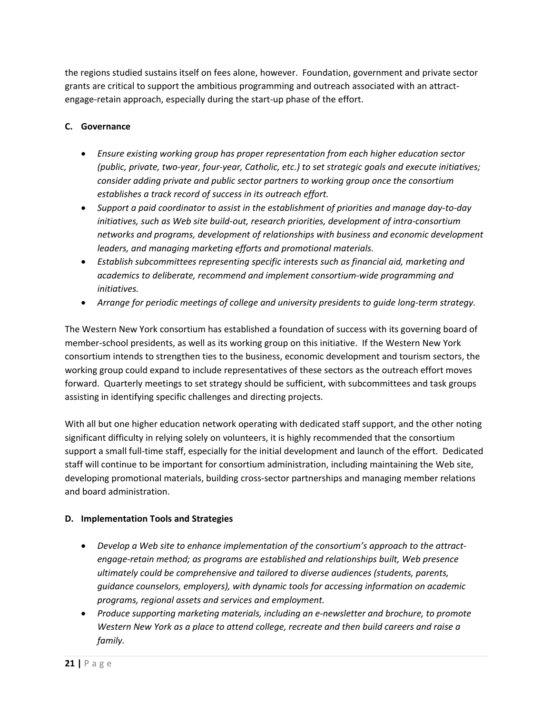the regions studied sustains itself on fees alone, however. Foundation, government and private sector grants are critical to support the ambitious programming and outreach associated with an attract‐ engage‐retain approach, especially during the start‐up phase of the effort.

### **C. Governance**

- *Ensure existing working group has proper representation from each higher education sector (public, private, two‐year, four‐year, Catholic, etc.) to set strategic goals and execute initiatives; consider adding private and public sector partners to working group once the consortium establishes a track record of success in its outreach effort.*
- *Support a paid coordinator to assist in the establishment of priorities and manage day‐to‐day initiatives, such as Web site build‐out, research priorities, development of intra‐consortium networks and programs, development of relationships with business and economic development leaders, and managing marketing efforts and promotional materials.*
- *Establish subcommittees representing specific interests such as financial aid, marketing and academics to deliberate, recommend and implement consortium‐wide programming and initiatives.*
- *Arrange for periodic meetings of college and university presidents to guide long‐term strategy.*

The Western New York consortium has established a foundation of success with its governing board of member‐school presidents, as well as its working group on this initiative. If the Western New York consortium intends to strengthen ties to the business, economic development and tourism sectors, the working group could expand to include representatives of these sectors as the outreach effort moves forward. Quarterly meetings to set strategy should be sufficient, with subcommittees and task groups assisting in identifying specific challenges and directing projects.

With all but one higher education network operating with dedicated staff support, and the other noting significant difficulty in relying solely on volunteers, it is highly recommended that the consortium support a small full-time staff, especially for the initial development and launch of the effort. Dedicated staff will continue to be important for consortium administration, including maintaining the Web site, developing promotional materials, building cross-sector partnerships and managing member relations and board administration.

### **D. Implementation Tools and Strategies**

- *Develop a Web site to enhance implementation of the consortium's approach to the attract‐ engage‐retain method; as programs are established and relationships built, Web presence ultimately could be comprehensive and tailored to diverse audiences (students, parents, guidance counselors, employers), with dynamic tools for accessing information on academic programs, regional assets and services and employment.*
- *Produce supporting marketing materials, including an e‐newsletter and brochure, to promote Western New York as a place to attend college, recreate and then build careers and raise a family.*